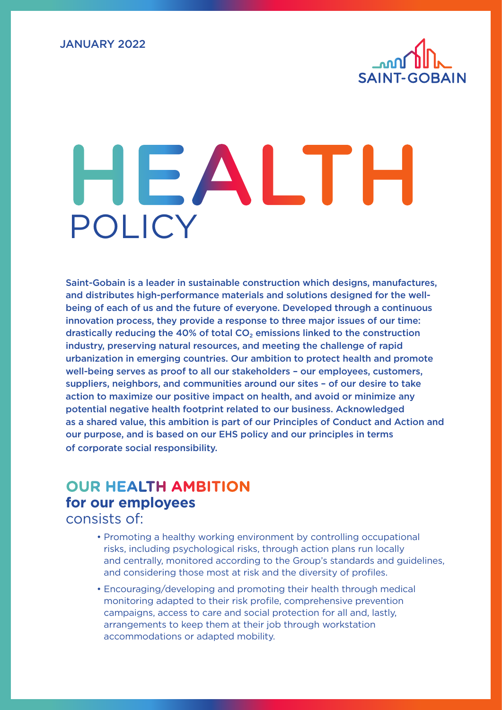

## HEALTH POLICY

Saint-Gobain is a leader in sustainable construction which designs, manufactures, and distributes high-performance materials and solutions designed for the wellbeing of each of us and the future of everyone. Developed through a continuous innovation process, they provide a response to three major issues of our time: drastically reducing the 40% of total  $CO<sub>2</sub>$  emissions linked to the construction industry, preserving natural resources, and meeting the challenge of rapid urbanization in emerging countries. Our ambition to protect health and promote well-being serves as proof to all our stakeholders – our employees, customers, suppliers, neighbors, and communities around our sites – of our desire to take action to maximize our positive impact on health, and avoid or minimize any potential negative health footprint related to our business. Acknowledged as a shared value, this ambition is part of our Principles of Conduct and Action and our purpose, and is based on our EHS policy and our principles in terms of corporate social responsibility.

## **OUR HEALTH AMBITION for our employees**

consists of:

- Promoting a healthy working environment by controlling occupational risks, including psychological risks, through action plans run locally and centrally, monitored according to the Group's standards and guidelines, and considering those most at risk and the diversity of profiles.
- Encouraging/developing and promoting their health through medical monitoring adapted to their risk profile, comprehensive prevention campaigns, access to care and social protection for all and, lastly, arrangements to keep them at their job through workstation accommodations or adapted mobility.